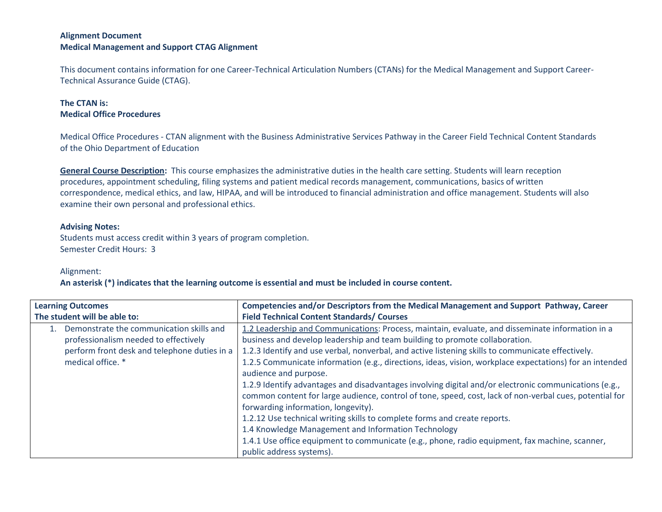## **Alignment Document Medical Management and Support CTAG Alignment**

This document contains information for one Career-Technical Articulation Numbers (CTANs) for the Medical Management and Support Career-Technical Assurance Guide (CTAG).

## **The CTAN is: Medical Office Procedures**

Medical Office Procedures - CTAN alignment with the Business Administrative Services Pathway in the Career Field Technical Content Standards of the Ohio Department of Education

**General Course Description:**This course emphasizes the administrative duties in the health care setting. Students will learn reception procedures, appointment scheduling, filing systems and patient medical records management, communications, basics of written correspondence, medical ethics, and law, HIPAA, and will be introduced to financial administration and office management. Students will also examine their own personal and professional ethics.

## **Advising Notes:**

Students must access credit within 3 years of program completion. Semester Credit Hours: 3

## Alignment:

**An asterisk (\*) indicates that the learning outcome is essential and must be included in course content.**

| <b>Learning Outcomes</b>                     | Competencies and/or Descriptors from the Medical Management and Support Pathway, Career                 |
|----------------------------------------------|---------------------------------------------------------------------------------------------------------|
| The student will be able to:                 | <b>Field Technical Content Standards/ Courses</b>                                                       |
| Demonstrate the communication skills and     | 1.2 Leadership and Communications: Process, maintain, evaluate, and disseminate information in a        |
| professionalism needed to effectively        | business and develop leadership and team building to promote collaboration.                             |
| perform front desk and telephone duties in a | 1.2.3 Identify and use verbal, nonverbal, and active listening skills to communicate effectively.       |
| medical office. *                            | 1.2.5 Communicate information (e.g., directions, ideas, vision, workplace expectations) for an intended |
|                                              | audience and purpose.                                                                                   |
|                                              | 1.2.9 Identify advantages and disadvantages involving digital and/or electronic communications (e.g.,   |
|                                              | common content for large audience, control of tone, speed, cost, lack of non-verbal cues, potential for |
|                                              | forwarding information, longevity).                                                                     |
|                                              | 1.2.12 Use technical writing skills to complete forms and create reports.                               |
|                                              | 1.4 Knowledge Management and Information Technology                                                     |
|                                              | 1.4.1 Use office equipment to communicate (e.g., phone, radio equipment, fax machine, scanner,          |
|                                              | public address systems).                                                                                |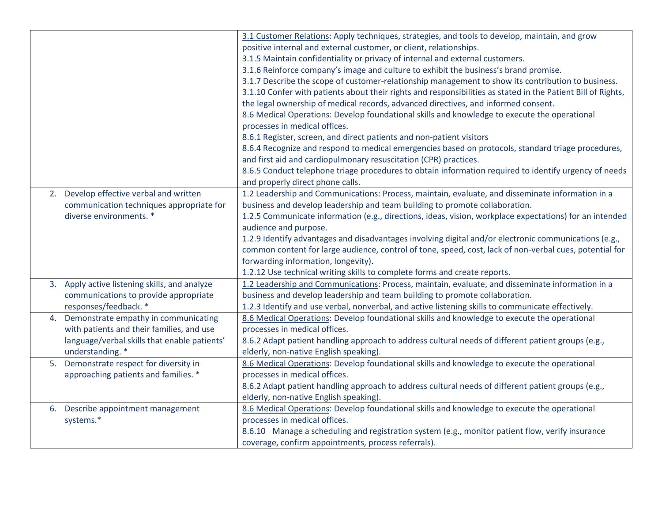|                                                  | 3.1 Customer Relations: Apply techniques, strategies, and tools to develop, maintain, and grow               |
|--------------------------------------------------|--------------------------------------------------------------------------------------------------------------|
|                                                  | positive internal and external customer, or client, relationships.                                           |
|                                                  | 3.1.5 Maintain confidentiality or privacy of internal and external customers.                                |
|                                                  | 3.1.6 Reinforce company's image and culture to exhibit the business's brand promise.                         |
|                                                  | 3.1.7 Describe the scope of customer-relationship management to show its contribution to business.           |
|                                                  | 3.1.10 Confer with patients about their rights and responsibilities as stated in the Patient Bill of Rights, |
|                                                  | the legal ownership of medical records, advanced directives, and informed consent.                           |
|                                                  | 8.6 Medical Operations: Develop foundational skills and knowledge to execute the operational                 |
|                                                  | processes in medical offices.                                                                                |
|                                                  | 8.6.1 Register, screen, and direct patients and non-patient visitors                                         |
|                                                  | 8.6.4 Recognize and respond to medical emergencies based on protocols, standard triage procedures,           |
|                                                  | and first aid and cardiopulmonary resuscitation (CPR) practices.                                             |
|                                                  | 8.6.5 Conduct telephone triage procedures to obtain information required to identify urgency of needs        |
|                                                  | and properly direct phone calls.                                                                             |
| Develop effective verbal and written<br>2.       | 1.2 Leadership and Communications: Process, maintain, evaluate, and disseminate information in a             |
| communication techniques appropriate for         | business and develop leadership and team building to promote collaboration.                                  |
| diverse environments. *                          | 1.2.5 Communicate information (e.g., directions, ideas, vision, workplace expectations) for an intended      |
|                                                  | audience and purpose.                                                                                        |
|                                                  | 1.2.9 Identify advantages and disadvantages involving digital and/or electronic communications (e.g.,        |
|                                                  | common content for large audience, control of tone, speed, cost, lack of non-verbal cues, potential for      |
|                                                  | forwarding information, longevity).                                                                          |
|                                                  | 1.2.12 Use technical writing skills to complete forms and create reports.                                    |
| Apply active listening skills, and analyze<br>3. | 1.2 Leadership and Communications: Process, maintain, evaluate, and disseminate information in a             |
| communications to provide appropriate            | business and develop leadership and team building to promote collaboration.                                  |
| responses/feedback. *                            | 1.2.3 Identify and use verbal, nonverbal, and active listening skills to communicate effectively.            |
| Demonstrate empathy in communicating<br>4.       | 8.6 Medical Operations: Develop foundational skills and knowledge to execute the operational                 |
| with patients and their families, and use        | processes in medical offices.                                                                                |
| language/verbal skills that enable patients'     | 8.6.2 Adapt patient handling approach to address cultural needs of different patient groups (e.g.,           |
| understanding. *                                 | elderly, non-native English speaking).                                                                       |
| Demonstrate respect for diversity in<br>5.       | 8.6 Medical Operations: Develop foundational skills and knowledge to execute the operational                 |
| approaching patients and families. *             | processes in medical offices.                                                                                |
|                                                  | 8.6.2 Adapt patient handling approach to address cultural needs of different patient groups (e.g.,           |
|                                                  | elderly, non-native English speaking).                                                                       |
| Describe appointment management<br>6.            | 8.6 Medical Operations: Develop foundational skills and knowledge to execute the operational                 |
| systems.*                                        | processes in medical offices.                                                                                |
|                                                  | 8.6.10 Manage a scheduling and registration system (e.g., monitor patient flow, verify insurance             |
|                                                  | coverage, confirm appointments, process referrals).                                                          |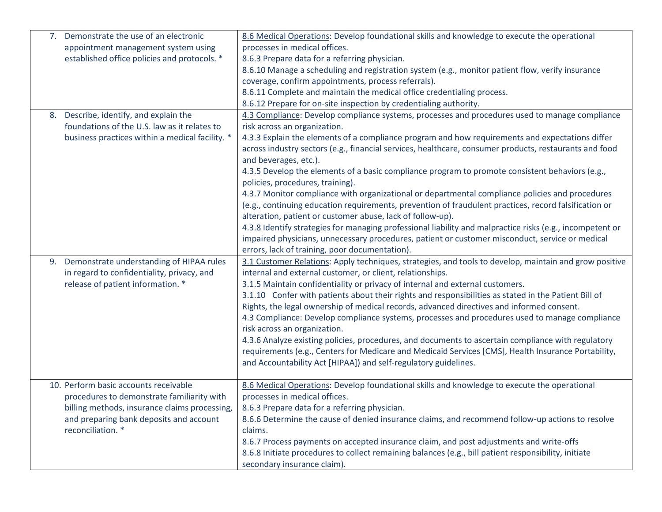| 7. | Demonstrate the use of an electronic            | 8.6 Medical Operations: Develop foundational skills and knowledge to execute the operational              |
|----|-------------------------------------------------|-----------------------------------------------------------------------------------------------------------|
|    | appointment management system using             | processes in medical offices.                                                                             |
|    | established office policies and protocols. *    | 8.6.3 Prepare data for a referring physician.                                                             |
|    |                                                 | 8.6.10 Manage a scheduling and registration system (e.g., monitor patient flow, verify insurance          |
|    |                                                 | coverage, confirm appointments, process referrals).                                                       |
|    |                                                 | 8.6.11 Complete and maintain the medical office credentialing process.                                    |
|    |                                                 | 8.6.12 Prepare for on-site inspection by credentialing authority.                                         |
|    | 8. Describe, identify, and explain the          | 4.3 Compliance: Develop compliance systems, processes and procedures used to manage compliance            |
|    | foundations of the U.S. law as it relates to    | risk across an organization.                                                                              |
|    | business practices within a medical facility. * | 4.3.3 Explain the elements of a compliance program and how requirements and expectations differ           |
|    |                                                 | across industry sectors (e.g., financial services, healthcare, consumer products, restaurants and food    |
|    |                                                 | and beverages, etc.).                                                                                     |
|    |                                                 | 4.3.5 Develop the elements of a basic compliance program to promote consistent behaviors (e.g.,           |
|    |                                                 | policies, procedures, training).                                                                          |
|    |                                                 | 4.3.7 Monitor compliance with organizational or departmental compliance policies and procedures           |
|    |                                                 | (e.g., continuing education requirements, prevention of fraudulent practices, record falsification or     |
|    |                                                 | alteration, patient or customer abuse, lack of follow-up).                                                |
|    |                                                 | 4.3.8 Identify strategies for managing professional liability and malpractice risks (e.g., incompetent or |
|    |                                                 | impaired physicians, unnecessary procedures, patient or customer misconduct, service or medical           |
|    |                                                 | errors, lack of training, poor documentation).                                                            |
| 9. | Demonstrate understanding of HIPAA rules        | 3.1 Customer Relations: Apply techniques, strategies, and tools to develop, maintain and grow positive    |
|    | in regard to confidentiality, privacy, and      | internal and external customer, or client, relationships.                                                 |
|    | release of patient information. *               | 3.1.5 Maintain confidentiality or privacy of internal and external customers.                             |
|    |                                                 | 3.1.10 Confer with patients about their rights and responsibilities as stated in the Patient Bill of      |
|    |                                                 | Rights, the legal ownership of medical records, advanced directives and informed consent.                 |
|    |                                                 | 4.3 Compliance: Develop compliance systems, processes and procedures used to manage compliance            |
|    |                                                 | risk across an organization.                                                                              |
|    |                                                 | 4.3.6 Analyze existing policies, procedures, and documents to ascertain compliance with regulatory        |
|    |                                                 | requirements (e.g., Centers for Medicare and Medicaid Services [CMS], Health Insurance Portability,       |
|    |                                                 | and Accountability Act [HIPAA]) and self-regulatory guidelines.                                           |
|    |                                                 |                                                                                                           |
|    | 10. Perform basic accounts receivable           | 8.6 Medical Operations: Develop foundational skills and knowledge to execute the operational              |
|    | procedures to demonstrate familiarity with      | processes in medical offices.                                                                             |
|    | billing methods, insurance claims processing,   | 8.6.3 Prepare data for a referring physician.                                                             |
|    | and preparing bank deposits and account         | 8.6.6 Determine the cause of denied insurance claims, and recommend follow-up actions to resolve          |
|    | reconciliation. *                               | claims.                                                                                                   |
|    |                                                 | 8.6.7 Process payments on accepted insurance claim, and post adjustments and write-offs                   |
|    |                                                 | 8.6.8 Initiate procedures to collect remaining balances (e.g., bill patient responsibility, initiate      |
|    |                                                 | secondary insurance claim).                                                                               |